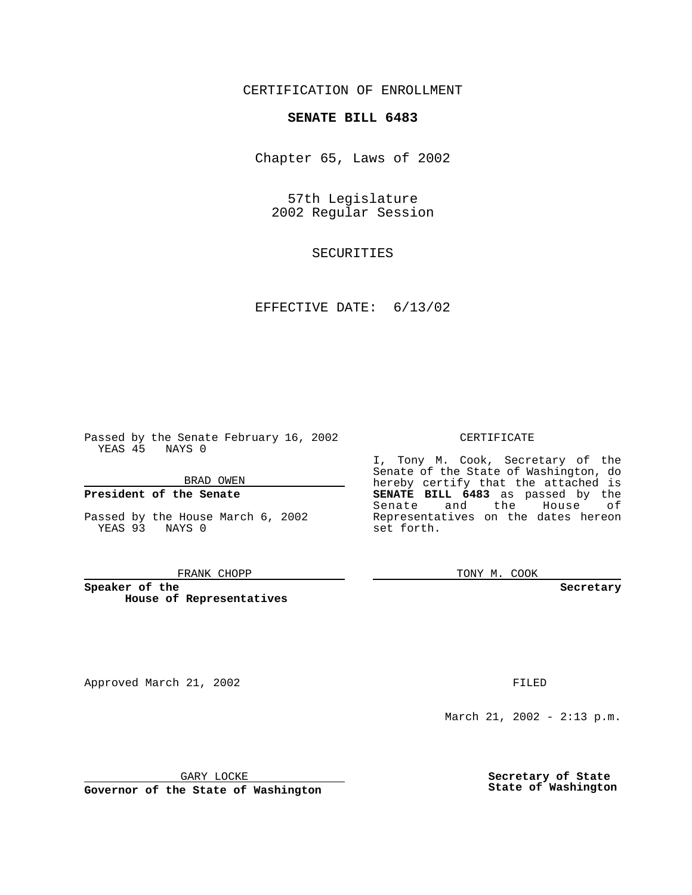CERTIFICATION OF ENROLLMENT

# **SENATE BILL 6483**

Chapter 65, Laws of 2002

57th Legislature 2002 Regular Session

SECURITIES

EFFECTIVE DATE: 6/13/02

Passed by the Senate February 16, 2002 YEAS 45 NAYS 0

BRAD OWEN

### **President of the Senate**

Passed by the House March 6, 2002 YEAS 93 NAYS 0

#### FRANK CHOPP

**Speaker of the House of Representatives**

Approved March 21, 2002 **FILED** 

#### CERTIFICATE

I, Tony M. Cook, Secretary of the Senate of the State of Washington, do hereby certify that the attached is **SENATE BILL 6483** as passed by the Senate and the House of Representatives on the dates hereon set forth.

TONY M. COOK

**Secretary**

March 21, 2002 - 2:13 p.m.

GARY LOCKE

**Governor of the State of Washington**

**Secretary of State State of Washington**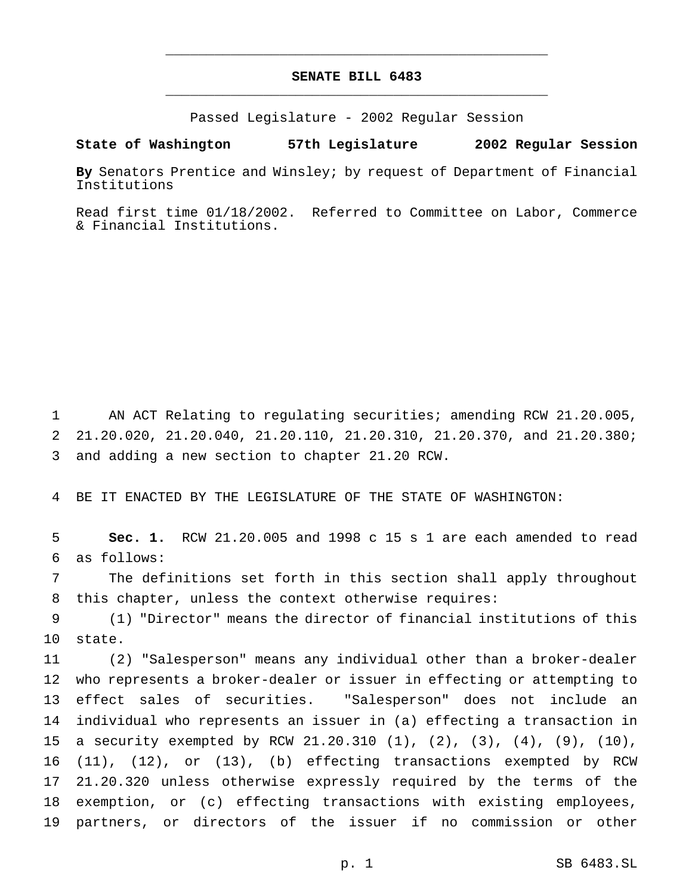## **SENATE BILL 6483** \_\_\_\_\_\_\_\_\_\_\_\_\_\_\_\_\_\_\_\_\_\_\_\_\_\_\_\_\_\_\_\_\_\_\_\_\_\_\_\_\_\_\_\_\_\_\_

\_\_\_\_\_\_\_\_\_\_\_\_\_\_\_\_\_\_\_\_\_\_\_\_\_\_\_\_\_\_\_\_\_\_\_\_\_\_\_\_\_\_\_\_\_\_\_

Passed Legislature - 2002 Regular Session

### **State of Washington 57th Legislature 2002 Regular Session**

**By** Senators Prentice and Winsley; by request of Department of Financial Institutions

Read first time 01/18/2002. Referred to Committee on Labor, Commerce & Financial Institutions.

 AN ACT Relating to regulating securities; amending RCW 21.20.005, 21.20.020, 21.20.040, 21.20.110, 21.20.310, 21.20.370, and 21.20.380; and adding a new section to chapter 21.20 RCW.

BE IT ENACTED BY THE LEGISLATURE OF THE STATE OF WASHINGTON:

 **Sec. 1.** RCW 21.20.005 and 1998 c 15 s 1 are each amended to read as follows:

 The definitions set forth in this section shall apply throughout this chapter, unless the context otherwise requires:

 (1) "Director" means the director of financial institutions of this state.

 (2) "Salesperson" means any individual other than a broker-dealer who represents a broker-dealer or issuer in effecting or attempting to effect sales of securities. "Salesperson" does not include an individual who represents an issuer in (a) effecting a transaction in a security exempted by RCW 21.20.310 (1), (2), (3), (4), (9), (10), (11), (12), or (13), (b) effecting transactions exempted by RCW 21.20.320 unless otherwise expressly required by the terms of the exemption, or (c) effecting transactions with existing employees, partners, or directors of the issuer if no commission or other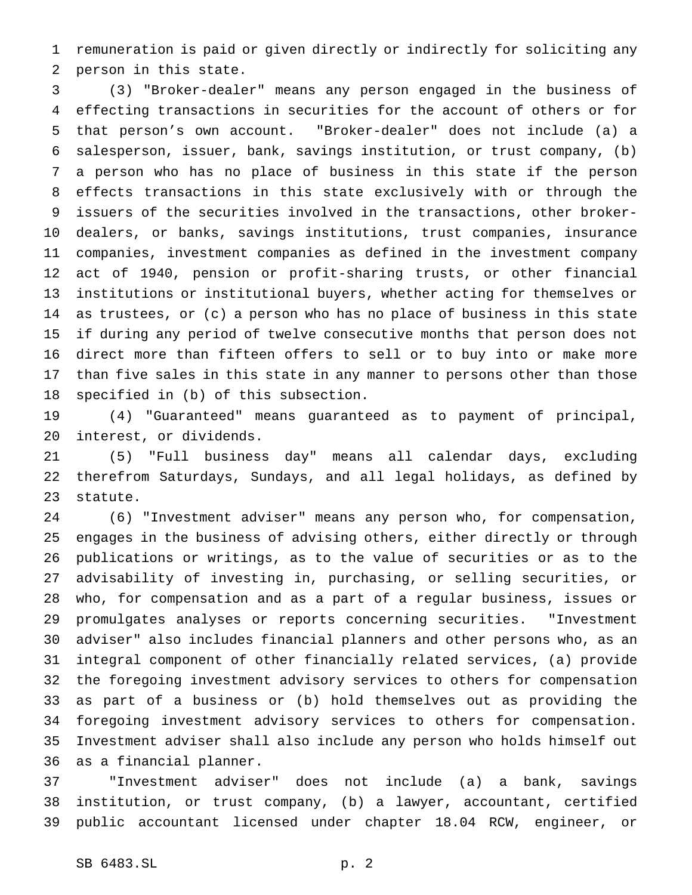remuneration is paid or given directly or indirectly for soliciting any person in this state.

 (3) "Broker-dealer" means any person engaged in the business of effecting transactions in securities for the account of others or for that person's own account. "Broker-dealer" does not include (a) a salesperson, issuer, bank, savings institution, or trust company, (b) a person who has no place of business in this state if the person effects transactions in this state exclusively with or through the issuers of the securities involved in the transactions, other broker- dealers, or banks, savings institutions, trust companies, insurance companies, investment companies as defined in the investment company act of 1940, pension or profit-sharing trusts, or other financial institutions or institutional buyers, whether acting for themselves or as trustees, or (c) a person who has no place of business in this state if during any period of twelve consecutive months that person does not direct more than fifteen offers to sell or to buy into or make more than five sales in this state in any manner to persons other than those specified in (b) of this subsection.

 (4) "Guaranteed" means guaranteed as to payment of principal, interest, or dividends.

 (5) "Full business day" means all calendar days, excluding therefrom Saturdays, Sundays, and all legal holidays, as defined by statute.

 (6) "Investment adviser" means any person who, for compensation, engages in the business of advising others, either directly or through publications or writings, as to the value of securities or as to the advisability of investing in, purchasing, or selling securities, or who, for compensation and as a part of a regular business, issues or promulgates analyses or reports concerning securities. "Investment adviser" also includes financial planners and other persons who, as an integral component of other financially related services, (a) provide the foregoing investment advisory services to others for compensation as part of a business or (b) hold themselves out as providing the foregoing investment advisory services to others for compensation. Investment adviser shall also include any person who holds himself out as a financial planner.

 "Investment adviser" does not include (a) a bank, savings institution, or trust company, (b) a lawyer, accountant, certified public accountant licensed under chapter 18.04 RCW, engineer, or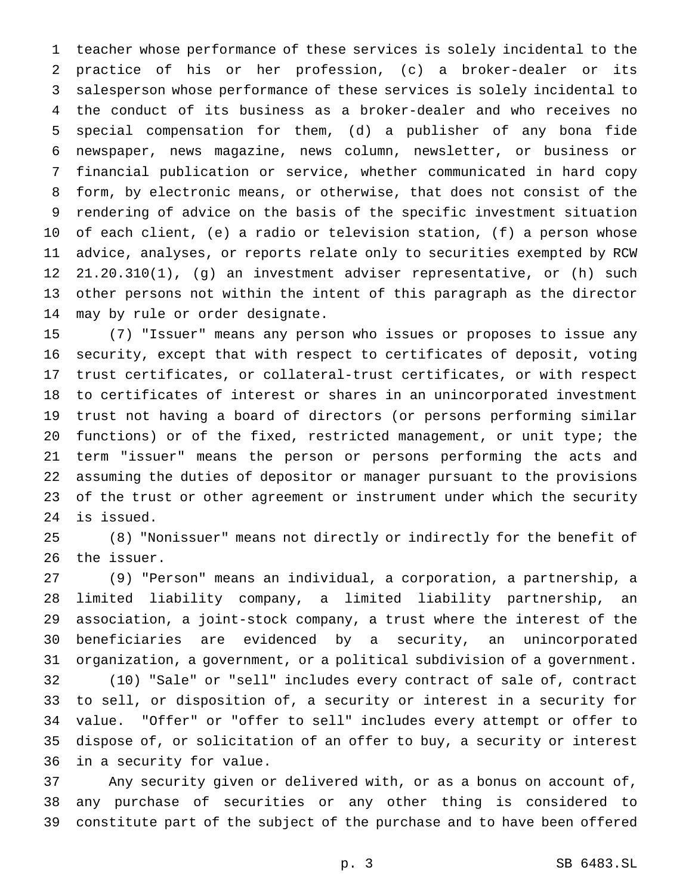teacher whose performance of these services is solely incidental to the practice of his or her profession, (c) a broker-dealer or its salesperson whose performance of these services is solely incidental to the conduct of its business as a broker-dealer and who receives no special compensation for them, (d) a publisher of any bona fide newspaper, news magazine, news column, newsletter, or business or financial publication or service, whether communicated in hard copy form, by electronic means, or otherwise, that does not consist of the rendering of advice on the basis of the specific investment situation of each client, (e) a radio or television station, (f) a person whose advice, analyses, or reports relate only to securities exempted by RCW 21.20.310(1), (g) an investment adviser representative, or (h) such other persons not within the intent of this paragraph as the director may by rule or order designate.

 (7) "Issuer" means any person who issues or proposes to issue any security, except that with respect to certificates of deposit, voting trust certificates, or collateral-trust certificates, or with respect to certificates of interest or shares in an unincorporated investment trust not having a board of directors (or persons performing similar functions) or of the fixed, restricted management, or unit type; the term "issuer" means the person or persons performing the acts and assuming the duties of depositor or manager pursuant to the provisions of the trust or other agreement or instrument under which the security is issued.

 (8) "Nonissuer" means not directly or indirectly for the benefit of the issuer.

 (9) "Person" means an individual, a corporation, a partnership, a limited liability company, a limited liability partnership, an association, a joint-stock company, a trust where the interest of the beneficiaries are evidenced by a security, an unincorporated organization, a government, or a political subdivision of a government. (10) "Sale" or "sell" includes every contract of sale of, contract to sell, or disposition of, a security or interest in a security for

 value. "Offer" or "offer to sell" includes every attempt or offer to dispose of, or solicitation of an offer to buy, a security or interest in a security for value.

 Any security given or delivered with, or as a bonus on account of, any purchase of securities or any other thing is considered to constitute part of the subject of the purchase and to have been offered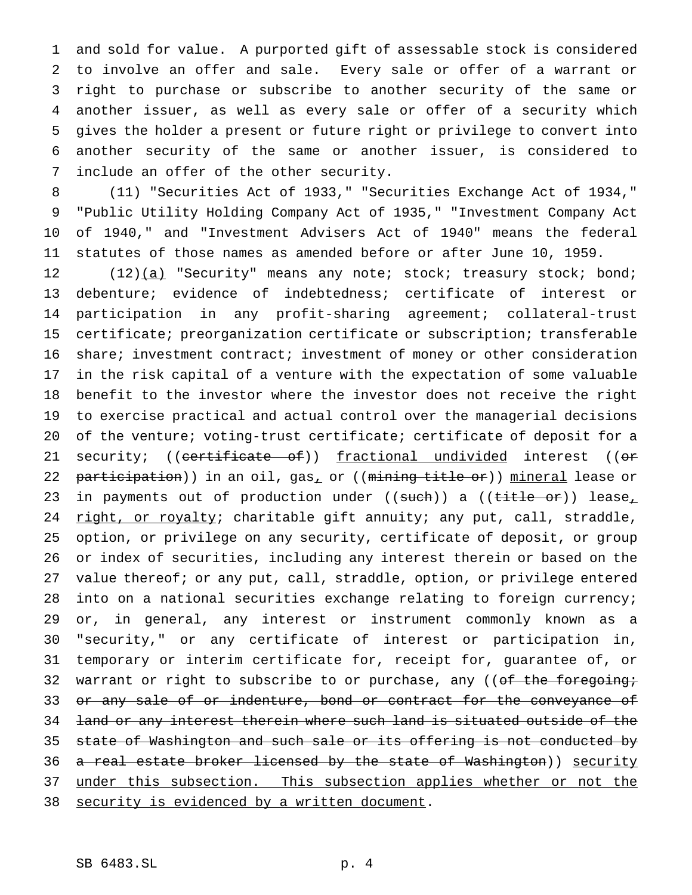and sold for value. A purported gift of assessable stock is considered to involve an offer and sale. Every sale or offer of a warrant or right to purchase or subscribe to another security of the same or another issuer, as well as every sale or offer of a security which gives the holder a present or future right or privilege to convert into another security of the same or another issuer, is considered to include an offer of the other security.

 (11) "Securities Act of 1933," "Securities Exchange Act of 1934," "Public Utility Holding Company Act of 1935," "Investment Company Act of 1940," and "Investment Advisers Act of 1940" means the federal statutes of those names as amended before or after June 10, 1959.

12 (12)(a) "Security" means any note; stock; treasury stock; bond; debenture; evidence of indebtedness; certificate of interest or participation in any profit-sharing agreement; collateral-trust certificate; preorganization certificate or subscription; transferable 16 share; investment contract; investment of money or other consideration in the risk capital of a venture with the expectation of some valuable benefit to the investor where the investor does not receive the right to exercise practical and actual control over the managerial decisions of the venture; voting-trust certificate; certificate of deposit for a 21 security; ((certificate of)) fractional undivided interest ((or 22 participation)) in an oil, gas, or ((mining title or)) mineral lease or 23 in payments out of production under ((such)) a ((title or)) lease, 24 right, or royalty; charitable gift annuity; any put, call, straddle, option, or privilege on any security, certificate of deposit, or group or index of securities, including any interest therein or based on the 27 value thereof; or any put, call, straddle, option, or privilege entered into on a national securities exchange relating to foreign currency; or, in general, any interest or instrument commonly known as a "security," or any certificate of interest or participation in, temporary or interim certificate for, receipt for, guarantee of, or 32 warrant or right to subscribe to or purchase, any (( $of$  the foregoing; 33 or any sale of or indenture, bond or contract for the conveyance of 34 land or any interest therein where such land is situated outside of the 35 state of Washington and such sale or its offering is not conducted by 36 a real estate broker licensed by the state of Washington)) security 37 under this subsection. This subsection applies whether or not the 38 security is evidenced by a written document.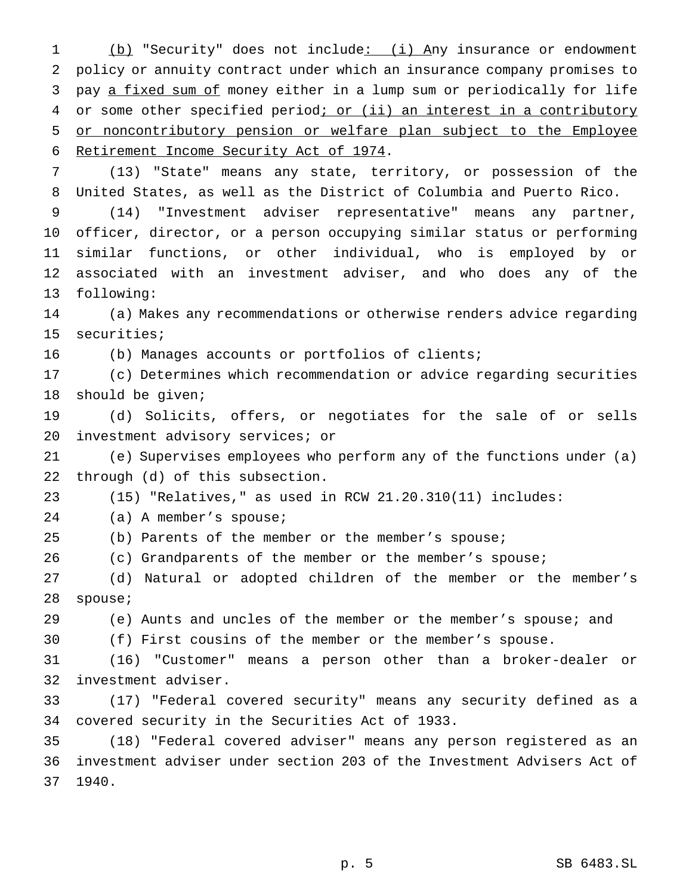1 (b) "Security" does not include: (i) Any insurance or endowment policy or annuity contract under which an insurance company promises to pay a fixed sum of money either in a lump sum or periodically for life 4 or some other specified period; or (ii) an interest in a contributory or noncontributory pension or welfare plan subject to the Employee Retirement Income Security Act of 1974.

 (13) "State" means any state, territory, or possession of the United States, as well as the District of Columbia and Puerto Rico.

 (14) "Investment adviser representative" means any partner, officer, director, or a person occupying similar status or performing similar functions, or other individual, who is employed by or associated with an investment adviser, and who does any of the following:

 (a) Makes any recommendations or otherwise renders advice regarding securities;

(b) Manages accounts or portfolios of clients;

 (c) Determines which recommendation or advice regarding securities should be given;

 (d) Solicits, offers, or negotiates for the sale of or sells investment advisory services; or

 (e) Supervises employees who perform any of the functions under (a) through (d) of this subsection.

(15) "Relatives," as used in RCW 21.20.310(11) includes:

(a) A member's spouse;

(b) Parents of the member or the member's spouse;

(c) Grandparents of the member or the member's spouse;

 (d) Natural or adopted children of the member or the member's spouse;

(e) Aunts and uncles of the member or the member's spouse; and

(f) First cousins of the member or the member's spouse.

 (16) "Customer" means a person other than a broker-dealer or investment adviser.

 (17) "Federal covered security" means any security defined as a covered security in the Securities Act of 1933.

 (18) "Federal covered adviser" means any person registered as an investment adviser under section 203 of the Investment Advisers Act of 1940.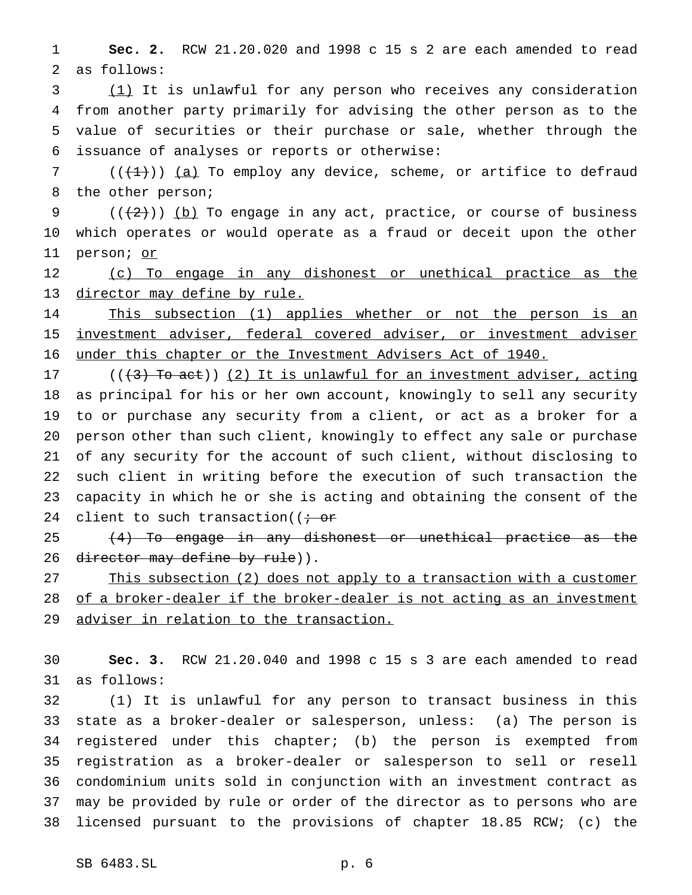**Sec. 2.** RCW 21.20.020 and 1998 c 15 s 2 are each amended to read as follows:

 (1) It is unlawful for any person who receives any consideration from another party primarily for advising the other person as to the value of securities or their purchase or sale, whether through the issuance of analyses or reports or otherwise:

 (( $(1)$ )) (a) To employ any device, scheme, or artifice to defraud the other person;

9  $((+2))$  (b) To engage in any act, practice, or course of business which operates or would operate as a fraud or deceit upon the other person; or

12 (c) To engage in any dishonest or unethical practice as the director may define by rule.

14 This subsection (1) applies whether or not the person is an investment adviser, federal covered adviser, or investment adviser under this chapter or the Investment Advisers Act of 1940.

17 ( $(\frac{1}{3})$  To act)) (2) It is unlawful for an investment adviser, acting as principal for his or her own account, knowingly to sell any security to or purchase any security from a client, or act as a broker for a person other than such client, knowingly to effect any sale or purchase of any security for the account of such client, without disclosing to such client in writing before the execution of such transaction the capacity in which he or she is acting and obtaining the consent of the 24 client to such transaction( $\overline{t}$  or

25 (4) To engage in any dishonest or unethical practice as the 26 director may define by rule)).

27 This subsection (2) does not apply to a transaction with a customer 28 of a broker-dealer if the broker-dealer is not acting as an investment 29 adviser in relation to the transaction.

 **Sec. 3.** RCW 21.20.040 and 1998 c 15 s 3 are each amended to read as follows:

 (1) It is unlawful for any person to transact business in this state as a broker-dealer or salesperson, unless: (a) The person is registered under this chapter; (b) the person is exempted from registration as a broker-dealer or salesperson to sell or resell condominium units sold in conjunction with an investment contract as may be provided by rule or order of the director as to persons who are licensed pursuant to the provisions of chapter 18.85 RCW; (c) the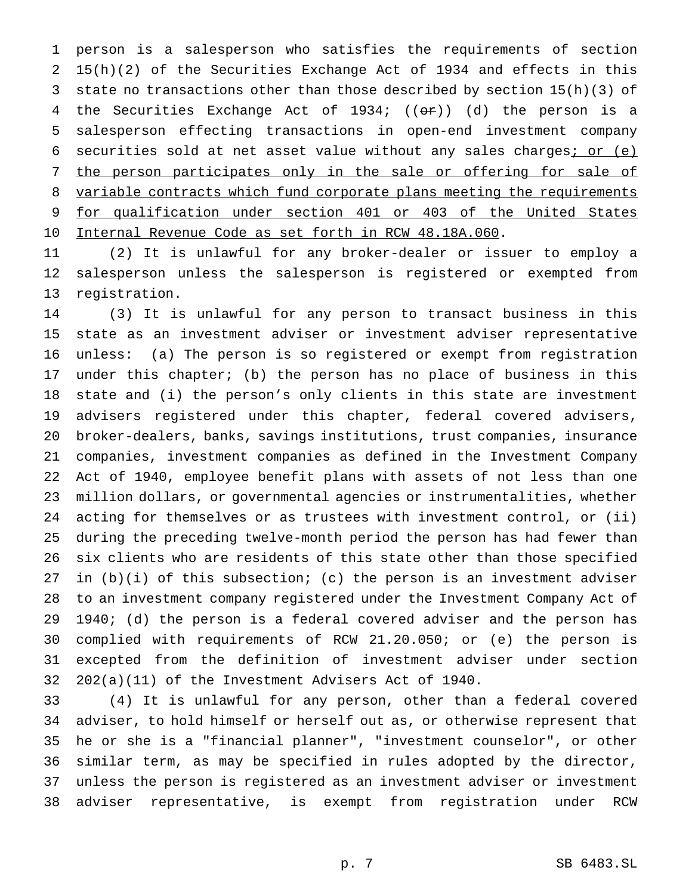person is a salesperson who satisfies the requirements of section 15(h)(2) of the Securities Exchange Act of 1934 and effects in this state no transactions other than those described by section 15(h)(3) of 4 the Securities Exchange Act of 1934; ((or)) (d) the person is a salesperson effecting transactions in open-end investment company 6 securities sold at net asset value without any sales charges; or (e) the person participates only in the sale or offering for sale of variable contracts which fund corporate plans meeting the requirements for qualification under section 401 or 403 of the United States Internal Revenue Code as set forth in RCW 48.18A.060.

 (2) It is unlawful for any broker-dealer or issuer to employ a salesperson unless the salesperson is registered or exempted from registration.

 (3) It is unlawful for any person to transact business in this state as an investment adviser or investment adviser representative unless: (a) The person is so registered or exempt from registration under this chapter; (b) the person has no place of business in this state and (i) the person's only clients in this state are investment advisers registered under this chapter, federal covered advisers, broker-dealers, banks, savings institutions, trust companies, insurance companies, investment companies as defined in the Investment Company Act of 1940, employee benefit plans with assets of not less than one million dollars, or governmental agencies or instrumentalities, whether acting for themselves or as trustees with investment control, or (ii) during the preceding twelve-month period the person has had fewer than six clients who are residents of this state other than those specified in (b)(i) of this subsection; (c) the person is an investment adviser to an investment company registered under the Investment Company Act of 1940; (d) the person is a federal covered adviser and the person has complied with requirements of RCW 21.20.050; or (e) the person is excepted from the definition of investment adviser under section 202(a)(11) of the Investment Advisers Act of 1940.

 (4) It is unlawful for any person, other than a federal covered adviser, to hold himself or herself out as, or otherwise represent that he or she is a "financial planner", "investment counselor", or other similar term, as may be specified in rules adopted by the director, unless the person is registered as an investment adviser or investment adviser representative, is exempt from registration under RCW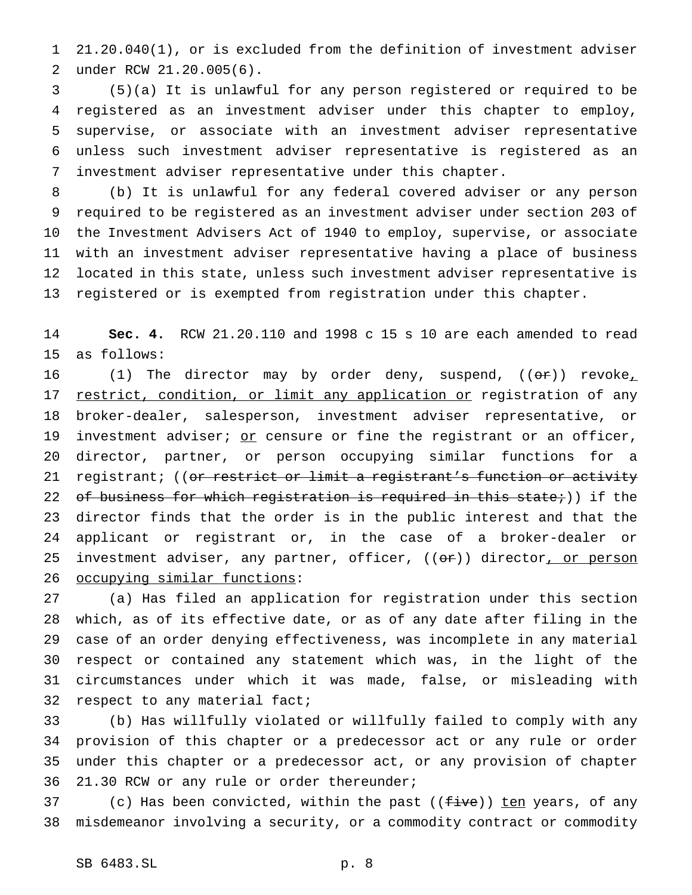21.20.040(1), or is excluded from the definition of investment adviser under RCW 21.20.005(6).

 (5)(a) It is unlawful for any person registered or required to be registered as an investment adviser under this chapter to employ, supervise, or associate with an investment adviser representative unless such investment adviser representative is registered as an investment adviser representative under this chapter.

 (b) It is unlawful for any federal covered adviser or any person required to be registered as an investment adviser under section 203 of the Investment Advisers Act of 1940 to employ, supervise, or associate with an investment adviser representative having a place of business located in this state, unless such investment adviser representative is registered or is exempted from registration under this chapter.

 **Sec. 4.** RCW 21.20.110 and 1998 c 15 s 10 are each amended to read as follows:

16 (1) The director may by order deny, suspend,  $(0 \text{F})$  revoke<sub>1</sub> 17 restrict, condition, or limit any application or registration of any broker-dealer, salesperson, investment adviser representative, or 19 investment adviser; or censure or fine the registrant or an officer, director, partner, or person occupying similar functions for a 21 registrant; ((or restrict or limit a registrant's function or activity 22 of business for which registration is required in this state;)) if the director finds that the order is in the public interest and that the applicant or registrant or, in the case of a broker-dealer or 25 investment adviser, any partner, officer, ((or)) director, or person occupying similar functions:

 (a) Has filed an application for registration under this section which, as of its effective date, or as of any date after filing in the case of an order denying effectiveness, was incomplete in any material respect or contained any statement which was, in the light of the circumstances under which it was made, false, or misleading with respect to any material fact;

 (b) Has willfully violated or willfully failed to comply with any provision of this chapter or a predecessor act or any rule or order under this chapter or a predecessor act, or any provision of chapter 21.30 RCW or any rule or order thereunder;

37 (c) Has been convicted, within the past ((five)) ten years, of any misdemeanor involving a security, or a commodity contract or commodity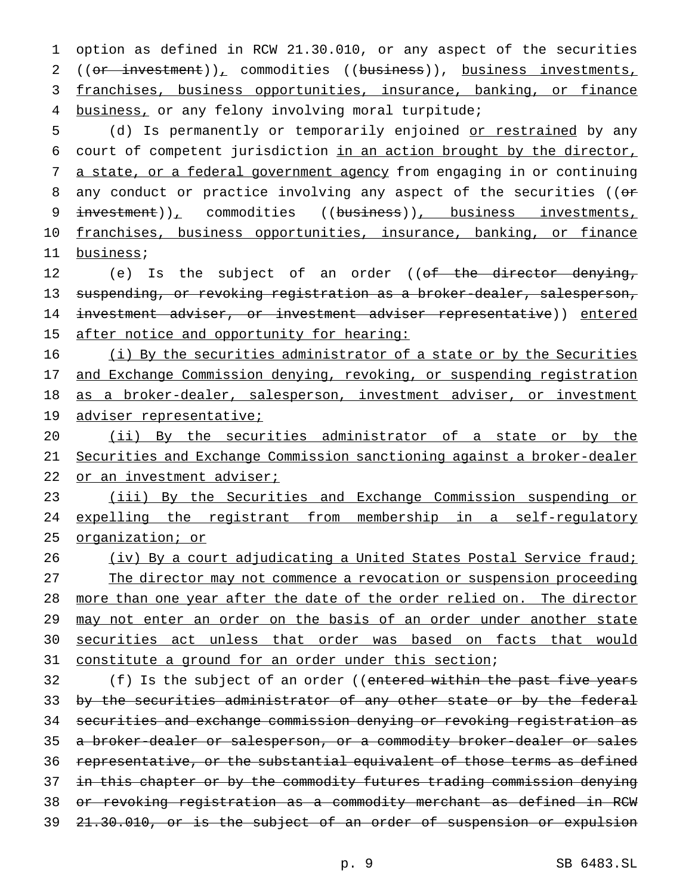option as defined in RCW 21.30.010, or any aspect of the securities 2 ((or investment)), commodities ((business)), business investments, franchises, business opportunities, insurance, banking, or finance business, or any felony involving moral turpitude;

5 (d) Is permanently or temporarily enjoined or restrained by any 6 court of competent jurisdiction in an action brought by the director, 7 a state, or a federal government agency from engaging in or continuing 8 any conduct or practice involving any aspect of the securities ((or 9 investment)), commodities ((business)), business investments, 10 franchises, business opportunities, insurance, banking, or finance 11 business;

12 (e) Is the subject of an order ((of the director denying, 13 suspending, or revoking registration as a broker-dealer, salesperson, 14 investment adviser, or investment adviser representative)) entered 15 after notice and opportunity for hearing:

16 (i) By the securities administrator of a state or by the Securities 17 and Exchange Commission denying, revoking, or suspending registration 18 as a broker-dealer, salesperson, investment adviser, or investment 19 adviser representative;

20 (ii) By the securities administrator of a state or by the 21 Securities and Exchange Commission sanctioning against a broker-dealer 22 or an investment adviser;

23 (iii) By the Securities and Exchange Commission suspending or 24 expelling the registrant from membership in a self-regulatory 25 organization; or

26 (iv) By a court adjudicating a United States Postal Service fraud; 27 The director may not commence a revocation or suspension proceeding 28 more than one year after the date of the order relied on. The director 29 may not enter an order on the basis of an order under another state 30 securities act unless that order was based on facts that would 31 constitute a ground for an order under this section;

32 (f) Is the subject of an order ((entered within the past five years 33 by the securities administrator of any other state or by the federal 34 securities and exchange commission denying or revoking registration as 35 a broker-dealer or salesperson, or a commodity broker-dealer or sales 36 representative, or the substantial equivalent of those terms as defined 37 in this chapter or by the commodity futures trading commission denying 38 or revoking registration as a commodity merchant as defined in RCW 39 21.30.010, or is the subject of an order of suspension or expulsion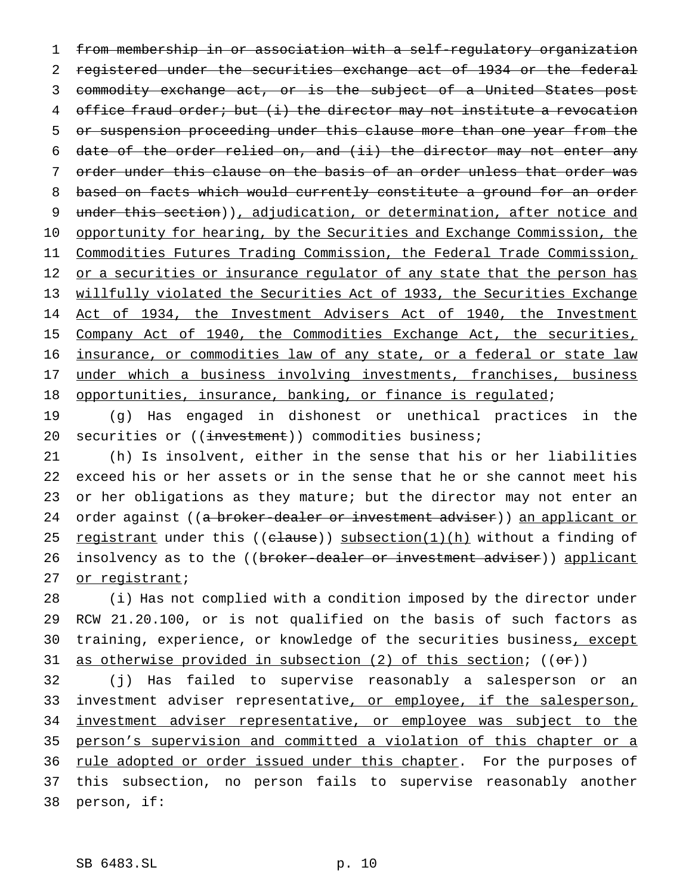1 from membership in or association with a self-regulatory organization 2 registered under the securities exchange act of 1934 or the federal 3 commodity exchange act, or is the subject of a United States post 4 office fraud order; but (i) the director may not institute a revocation 5 or suspension proceeding under this clause more than one year from the 6 date of the order relied on, and (ii) the director may not enter any 7 order under this clause on the basis of an order unless that order was 8 based on facts which would currently constitute a ground for an order 9 under this section)), adjudication, or determination, after notice and 10 opportunity for hearing, by the Securities and Exchange Commission, the 11 Commodities Futures Trading Commission, the Federal Trade Commission, 12 or a securities or insurance regulator of any state that the person has 13 willfully violated the Securities Act of 1933, the Securities Exchange 14 Act of 1934, the Investment Advisers Act of 1940, the Investment 15 Company Act of 1940, the Commodities Exchange Act, the securities, 16 insurance, or commodities law of any state, or a federal or state law 17 under which a business involving investments, franchises, business 18 opportunities, insurance, banking, or finance is regulated;

19 (g) Has engaged in dishonest or unethical practices in the 20 securities or ((investment)) commodities business;

21 (h) Is insolvent, either in the sense that his or her liabilities 22 exceed his or her assets or in the sense that he or she cannot meet his 23 or her obligations as they mature; but the director may not enter an 24 order against ((a broker-dealer or investment adviser)) an applicant or 25 registrant under this ((clause)) subsection(1)(h) without a finding of 26 insolvency as to the ((broker-dealer or investment adviser)) applicant 27 or registrant;

28 (i) Has not complied with a condition imposed by the director under 29 RCW 21.20.100, or is not qualified on the basis of such factors as 30 training, experience, or knowledge of the securities business, except 31 as otherwise provided in subsection (2) of this section; ((or))

32 (j) Has failed to supervise reasonably a salesperson or an 33 investment adviser representative, or employee, if the salesperson, 34 investment adviser representative, or employee was subject to the 35 person's supervision and committed a violation of this chapter or a 36 rule adopted or order issued under this chapter. For the purposes of 37 this subsection, no person fails to supervise reasonably another 38 person, if: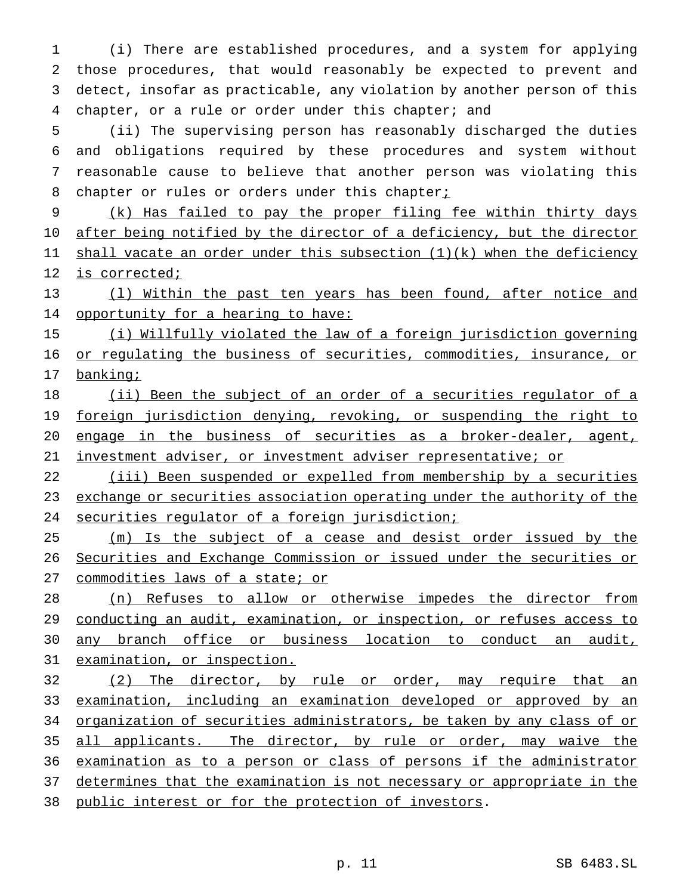(i) There are established procedures, and a system for applying those procedures, that would reasonably be expected to prevent and detect, insofar as practicable, any violation by another person of this chapter, or a rule or order under this chapter; and

 (ii) The supervising person has reasonably discharged the duties and obligations required by these procedures and system without reasonable cause to believe that another person was violating this 8 chapter or rules or orders under this chapter<sub>i</sub>

 (k) Has failed to pay the proper filing fee within thirty days after being notified by the director of a deficiency, but the director 11 shall vacate an order under this subsection (1)(k) when the deficiency is corrected;

 (l) Within the past ten years has been found, after notice and 14 opportunity for a hearing to have:

 (i) Willfully violated the law of a foreign jurisdiction governing or regulating the business of securities, commodities, insurance, or 17 banking;

18 (ii) Been the subject of an order of a securities regulator of a 19 foreign jurisdiction denying, revoking, or suspending the right to engage in the business of securities as a broker-dealer, agent, investment adviser, or investment adviser representative; or

 (iii) Been suspended or expelled from membership by a securities 23 exchange or securities association operating under the authority of the securities regulator of a foreign jurisdiction;

25 (m) Is the subject of a cease and desist order issued by the Securities and Exchange Commission or issued under the securities or 27 commodities laws of a state; or

 (n) Refuses to allow or otherwise impedes the director from conducting an audit, examination, or inspection, or refuses access to any branch office or business location to conduct an audit, examination, or inspection.

32 (2) The director, by rule or order, may require that an 33 examination, including an examination developed or approved by an organization of securities administrators, be taken by any class of or all applicants. The director, by rule or order, may waive the examination as to a person or class of persons if the administrator 37 determines that the examination is not necessary or appropriate in the public interest or for the protection of investors.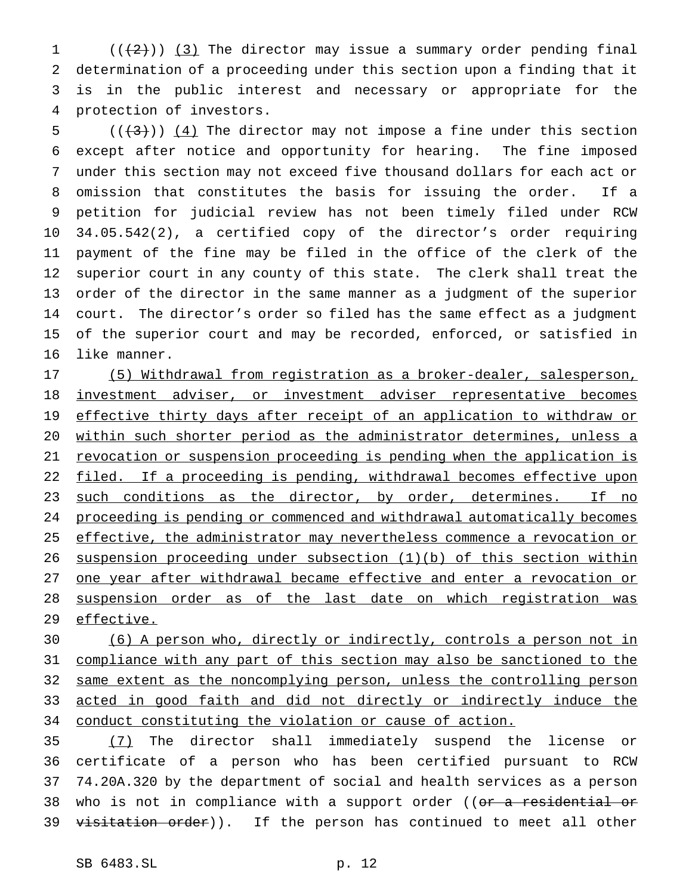$((+2))$   $(3)$  The director may issue a summary order pending final determination of a proceeding under this section upon a finding that it is in the public interest and necessary or appropriate for the protection of investors.

 $((+3))$   $(4)$  The director may not impose a fine under this section except after notice and opportunity for hearing. The fine imposed under this section may not exceed five thousand dollars for each act or omission that constitutes the basis for issuing the order. If a petition for judicial review has not been timely filed under RCW 34.05.542(2), a certified copy of the director's order requiring payment of the fine may be filed in the office of the clerk of the superior court in any county of this state. The clerk shall treat the order of the director in the same manner as a judgment of the superior court. The director's order so filed has the same effect as a judgment of the superior court and may be recorded, enforced, or satisfied in like manner.

 (5) Withdrawal from registration as a broker-dealer, salesperson, 18 investment adviser, or investment adviser representative becomes 19 effective thirty days after receipt of an application to withdraw or within such shorter period as the administrator determines, unless a revocation or suspension proceeding is pending when the application is 22 filed. If a proceeding is pending, withdrawal becomes effective upon 23 such conditions as the director, by order, determines. If no proceeding is pending or commenced and withdrawal automatically becomes 25 effective, the administrator may nevertheless commence a revocation or suspension proceeding under subsection (1)(b) of this section within one year after withdrawal became effective and enter a revocation or suspension order as of the last date on which registration was 29 effective.

 (6) A person who, directly or indirectly, controls a person not in compliance with any part of this section may also be sanctioned to the same extent as the noncomplying person, unless the controlling person acted in good faith and did not directly or indirectly induce the conduct constituting the violation or cause of action.

 (7) The director shall immediately suspend the license or certificate of a person who has been certified pursuant to RCW 74.20A.320 by the department of social and health services as a person 38 who is not in compliance with a support order ((or a residential or 39 visitation order)). If the person has continued to meet all other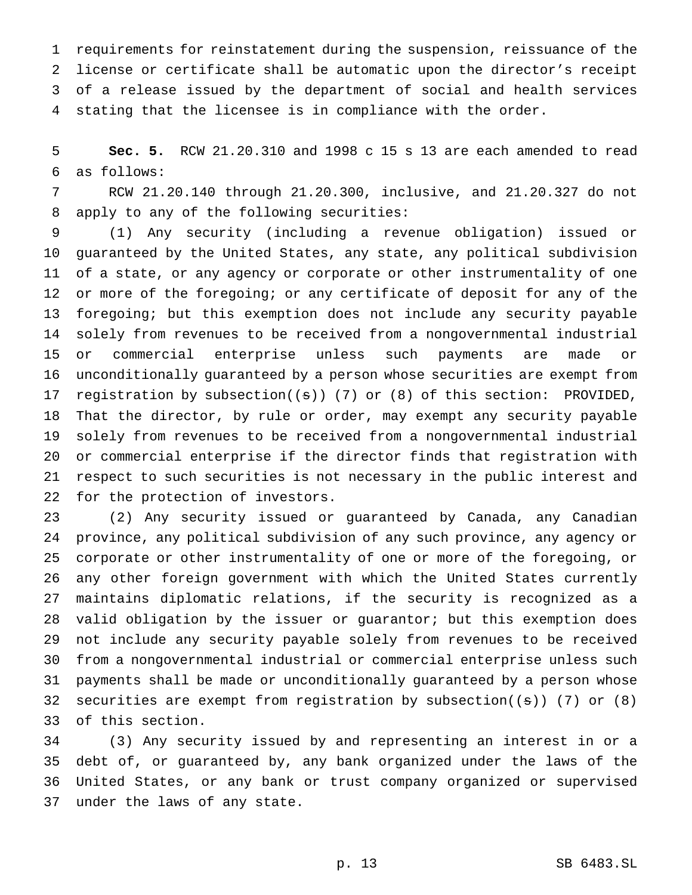requirements for reinstatement during the suspension, reissuance of the license or certificate shall be automatic upon the director's receipt of a release issued by the department of social and health services stating that the licensee is in compliance with the order.

 **Sec. 5.** RCW 21.20.310 and 1998 c 15 s 13 are each amended to read as follows:

 RCW 21.20.140 through 21.20.300, inclusive, and 21.20.327 do not apply to any of the following securities:

 (1) Any security (including a revenue obligation) issued or guaranteed by the United States, any state, any political subdivision of a state, or any agency or corporate or other instrumentality of one or more of the foregoing; or any certificate of deposit for any of the foregoing; but this exemption does not include any security payable solely from revenues to be received from a nongovernmental industrial or commercial enterprise unless such payments are made or unconditionally guaranteed by a person whose securities are exempt from registration by subsection((s)) (7) or (8) of this section: PROVIDED, That the director, by rule or order, may exempt any security payable solely from revenues to be received from a nongovernmental industrial or commercial enterprise if the director finds that registration with respect to such securities is not necessary in the public interest and for the protection of investors.

 (2) Any security issued or guaranteed by Canada, any Canadian province, any political subdivision of any such province, any agency or corporate or other instrumentality of one or more of the foregoing, or any other foreign government with which the United States currently maintains diplomatic relations, if the security is recognized as a valid obligation by the issuer or guarantor; but this exemption does not include any security payable solely from revenues to be received from a nongovernmental industrial or commercial enterprise unless such payments shall be made or unconditionally guaranteed by a person whose securities are exempt from registration by subsection((s)) (7) or (8) of this section.

 (3) Any security issued by and representing an interest in or a debt of, or guaranteed by, any bank organized under the laws of the United States, or any bank or trust company organized or supervised under the laws of any state.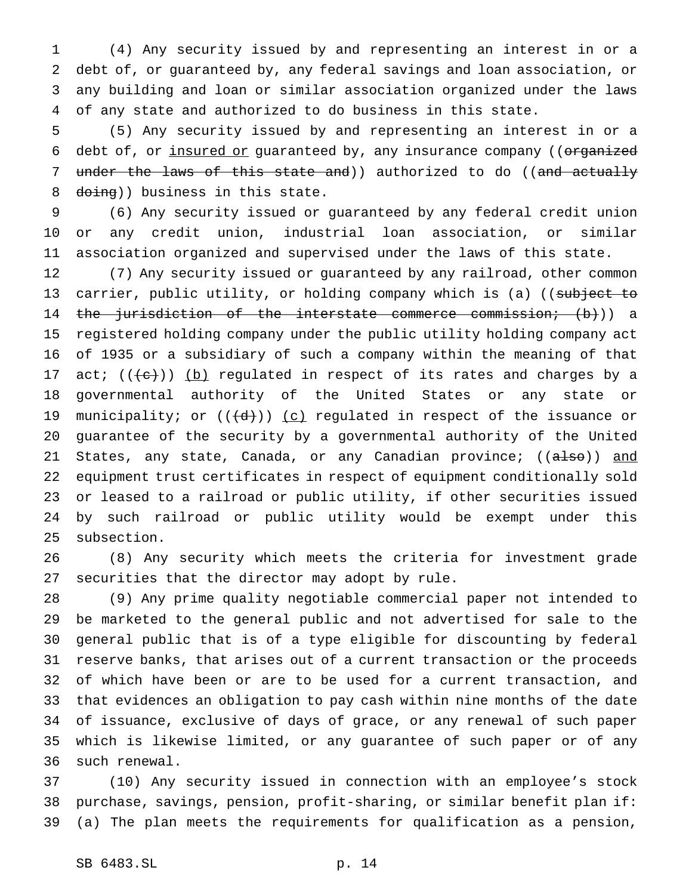(4) Any security issued by and representing an interest in or a debt of, or guaranteed by, any federal savings and loan association, or any building and loan or similar association organized under the laws of any state and authorized to do business in this state.

 (5) Any security issued by and representing an interest in or a 6 debt of, or insured or guaranteed by, any insurance company ((organized 7 under the laws of this state and)) authorized to do ((and actually 8 doing)) business in this state.

 (6) Any security issued or guaranteed by any federal credit union or any credit union, industrial loan association, or similar association organized and supervised under the laws of this state.

 (7) Any security issued or guaranteed by any railroad, other common 13 carrier, public utility, or holding company which is (a) ((subject to 14 the jurisdiction of the interstate commerce commission; (b))) a registered holding company under the public utility holding company act of 1935 or a subsidiary of such a company within the meaning of that 17 act;  $((e+))$  (b) regulated in respect of its rates and charges by a governmental authority of the United States or any state or 19 municipality; or  $((\{d\}))(c)$  regulated in respect of the issuance or guarantee of the security by a governmental authority of the United 21 States, any state, Canada, or any Canadian province; ((also)) and equipment trust certificates in respect of equipment conditionally sold or leased to a railroad or public utility, if other securities issued by such railroad or public utility would be exempt under this subsection.

 (8) Any security which meets the criteria for investment grade securities that the director may adopt by rule.

 (9) Any prime quality negotiable commercial paper not intended to be marketed to the general public and not advertised for sale to the general public that is of a type eligible for discounting by federal reserve banks, that arises out of a current transaction or the proceeds of which have been or are to be used for a current transaction, and that evidences an obligation to pay cash within nine months of the date of issuance, exclusive of days of grace, or any renewal of such paper which is likewise limited, or any guarantee of such paper or of any such renewal.

 (10) Any security issued in connection with an employee's stock purchase, savings, pension, profit-sharing, or similar benefit plan if: (a) The plan meets the requirements for qualification as a pension,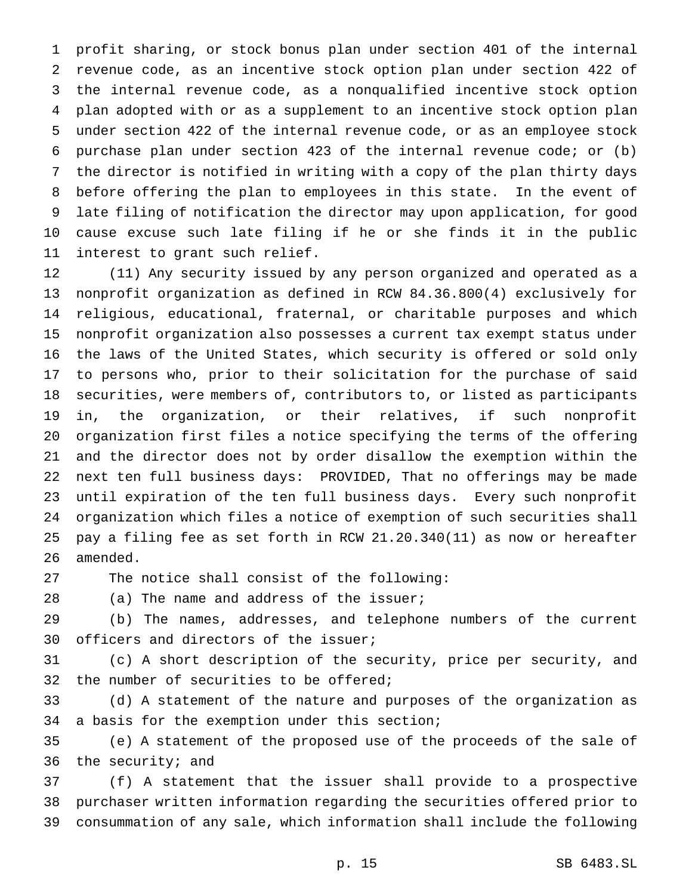profit sharing, or stock bonus plan under section 401 of the internal revenue code, as an incentive stock option plan under section 422 of the internal revenue code, as a nonqualified incentive stock option plan adopted with or as a supplement to an incentive stock option plan under section 422 of the internal revenue code, or as an employee stock purchase plan under section 423 of the internal revenue code; or (b) the director is notified in writing with a copy of the plan thirty days before offering the plan to employees in this state. In the event of late filing of notification the director may upon application, for good cause excuse such late filing if he or she finds it in the public interest to grant such relief.

 (11) Any security issued by any person organized and operated as a nonprofit organization as defined in RCW 84.36.800(4) exclusively for religious, educational, fraternal, or charitable purposes and which nonprofit organization also possesses a current tax exempt status under the laws of the United States, which security is offered or sold only to persons who, prior to their solicitation for the purchase of said securities, were members of, contributors to, or listed as participants in, the organization, or their relatives, if such nonprofit organization first files a notice specifying the terms of the offering and the director does not by order disallow the exemption within the next ten full business days: PROVIDED, That no offerings may be made until expiration of the ten full business days. Every such nonprofit organization which files a notice of exemption of such securities shall pay a filing fee as set forth in RCW 21.20.340(11) as now or hereafter amended.

The notice shall consist of the following:

28 (a) The name and address of the issuer;

 (b) The names, addresses, and telephone numbers of the current officers and directors of the issuer;

 (c) A short description of the security, price per security, and the number of securities to be offered;

 (d) A statement of the nature and purposes of the organization as a basis for the exemption under this section;

 (e) A statement of the proposed use of the proceeds of the sale of the security; and

 (f) A statement that the issuer shall provide to a prospective purchaser written information regarding the securities offered prior to consummation of any sale, which information shall include the following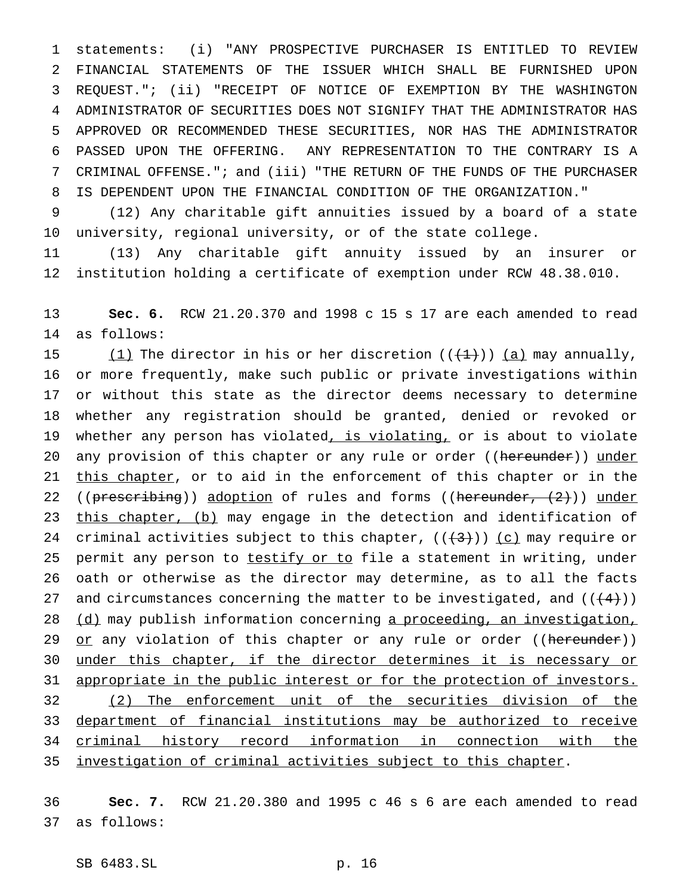statements: (i) "ANY PROSPECTIVE PURCHASER IS ENTITLED TO REVIEW FINANCIAL STATEMENTS OF THE ISSUER WHICH SHALL BE FURNISHED UPON REQUEST."; (ii) "RECEIPT OF NOTICE OF EXEMPTION BY THE WASHINGTON ADMINISTRATOR OF SECURITIES DOES NOT SIGNIFY THAT THE ADMINISTRATOR HAS APPROVED OR RECOMMENDED THESE SECURITIES, NOR HAS THE ADMINISTRATOR PASSED UPON THE OFFERING. ANY REPRESENTATION TO THE CONTRARY IS A CRIMINAL OFFENSE."; and (iii) "THE RETURN OF THE FUNDS OF THE PURCHASER IS DEPENDENT UPON THE FINANCIAL CONDITION OF THE ORGANIZATION."

 (12) Any charitable gift annuities issued by a board of a state university, regional university, or of the state college.

 (13) Any charitable gift annuity issued by an insurer or institution holding a certificate of exemption under RCW 48.38.010.

 **Sec. 6.** RCW 21.20.370 and 1998 c 15 s 17 are each amended to read as follows:

15 (1) The director in his or her discretion  $((+1))$  (a) may annually, or more frequently, make such public or private investigations within or without this state as the director deems necessary to determine whether any registration should be granted, denied or revoked or 19 whether any person has violated, is violating, or is about to violate 20 any provision of this chapter or any rule or order ((hereunder)) under 21 this chapter, or to aid in the enforcement of this chapter or in the 22 (( $prescripting$ )) adoption of rules and forms (( $hereunder$ ,  $(2)$ )) under 23 this chapter, (b) may engage in the detection and identification of 24 criminal activities subject to this chapter,  $((+3))$  (c) may require or 25 permit any person to testify or to file a statement in writing, under oath or otherwise as the director may determine, as to all the facts 27 and circumstances concerning the matter to be investigated, and  $((+4))$ 28 (d) may publish information concerning a proceeding, an investigation, 29 or any violation of this chapter or any rule or order ((hereunder)) 30 under this chapter, if the director determines it is necessary or 31 appropriate in the public interest or for the protection of investors. (2) The enforcement unit of the securities division of the department of financial institutions may be authorized to receive criminal history record information in connection with the investigation of criminal activities subject to this chapter.

 **Sec. 7.** RCW 21.20.380 and 1995 c 46 s 6 are each amended to read as follows:

SB 6483.SL p. 16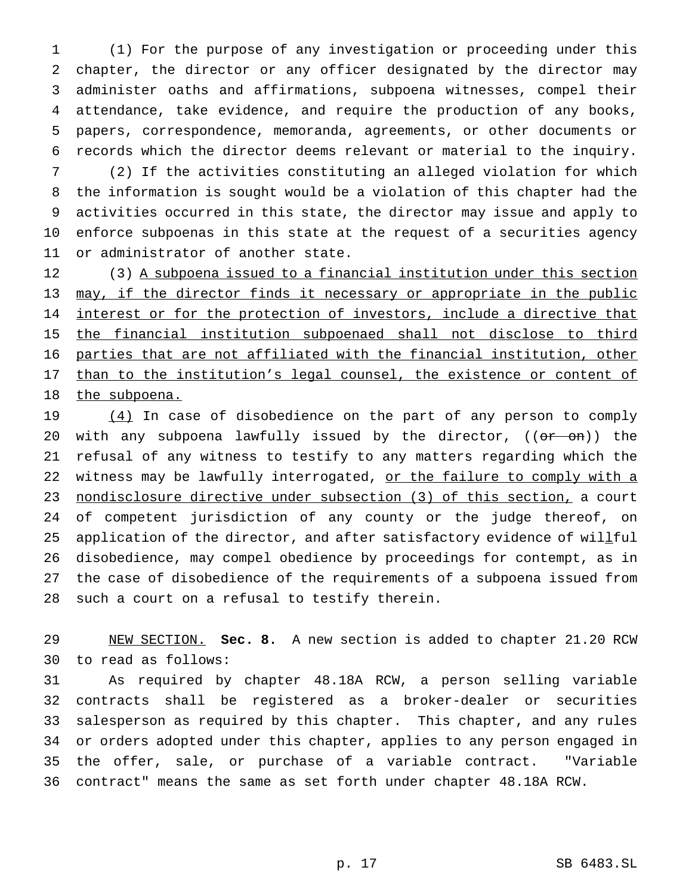(1) For the purpose of any investigation or proceeding under this chapter, the director or any officer designated by the director may administer oaths and affirmations, subpoena witnesses, compel their attendance, take evidence, and require the production of any books, papers, correspondence, memoranda, agreements, or other documents or records which the director deems relevant or material to the inquiry.

 (2) If the activities constituting an alleged violation for which the information is sought would be a violation of this chapter had the activities occurred in this state, the director may issue and apply to enforce subpoenas in this state at the request of a securities agency or administrator of another state.

12 (3) A subpoena issued to a financial institution under this section 13 may, if the director finds it necessary or appropriate in the public 14 interest or for the protection of investors, include a directive that the financial institution subpoenaed shall not disclose to third parties that are not affiliated with the financial institution, other 17 than to the institution's legal counsel, the existence or content of 18 the subpoena.

19 (4) In case of disobedience on the part of any person to comply 20 with any subpoena lawfully issued by the director, ((or on)) the refusal of any witness to testify to any matters regarding which the 22 witness may be lawfully interrogated, or the failure to comply with a nondisclosure directive under subsection (3) of this section, a court of competent jurisdiction of any county or the judge thereof, on 25 application of the director, and after satisfactory evidence of willful disobedience, may compel obedience by proceedings for contempt, as in the case of disobedience of the requirements of a subpoena issued from such a court on a refusal to testify therein.

 NEW SECTION. **Sec. 8.** A new section is added to chapter 21.20 RCW to read as follows:

 As required by chapter 48.18A RCW, a person selling variable contracts shall be registered as a broker-dealer or securities salesperson as required by this chapter. This chapter, and any rules or orders adopted under this chapter, applies to any person engaged in the offer, sale, or purchase of a variable contract. "Variable contract" means the same as set forth under chapter 48.18A RCW.